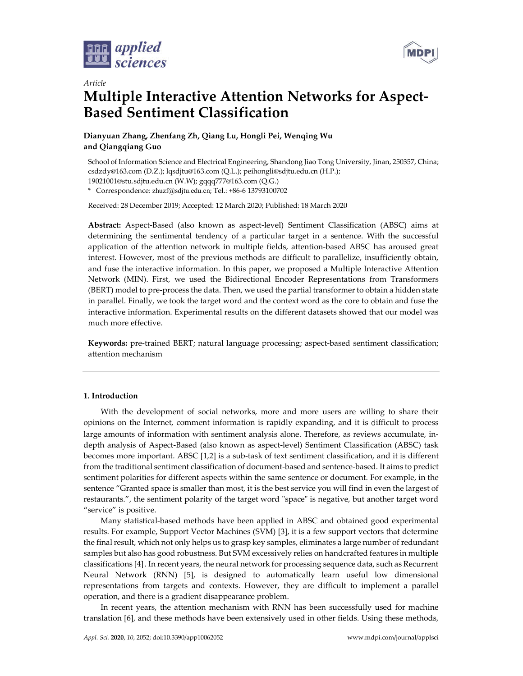

*Article*



# **Multiple Interactive Attention Networks for Aspect-Based Sentiment Classification**

# **Dianyuan Zhang, Zhenfang Zh, Qiang Lu, Hongli Pei, Wenqing Wu and Qiangqiang Guo**

School of Information Science and Electrical Engineering, Shandong Jiao Tong University, Jinan, 250357, China; csdzdy@163.com (D.Z.); lqsdjtu@163.com (Q.L.); peihongli@sdjtu.edu.cn (H.P.); 19021001@stu.sdjtu.edu.cn (W.W); gqqq777@163.com (Q.G.) **\*** Correspondence: zhuzf@sdjtu.edu.cn; Tel.: +86-6 13793100702

Received: 28 December 2019; Accepted: 12 March 2020; Published: 18 March 2020

**Abstract:** Aspect-Based (also known as aspect-level) Sentiment Classification (ABSC) aims at determining the sentimental tendency of a particular target in a sentence. With the successful application of the attention network in multiple fields, attention-based ABSC has aroused great interest. However, most of the previous methods are difficult to parallelize, insufficiently obtain, and fuse the interactive information. In this paper, we proposed a Multiple Interactive Attention Network (MIN). First, we used the Bidirectional Encoder Representations from Transformers (BERT) model to pre-process the data. Then, we used the partial transformer to obtain a hidden state in parallel. Finally, we took the target word and the context word as the core to obtain and fuse the interactive information. Experimental results on the different datasets showed that our model was much more effective.

**Keywords:** pre-trained BERT; natural language processing; aspect-based sentiment classification; attention mechanism

## **1. Introduction**

With the development of social networks, more and more users are willing to share their opinions on the Internet, comment information is rapidly expanding, and it is difficult to process large amounts of information with sentiment analysis alone. Therefore, as reviews accumulate, indepth analysis of Aspect-Based (also known as aspect-level) Sentiment Classification (ABSC) task becomes more important. ABSC [1,2] is a sub-task of text sentiment classification, and it is different from the traditional sentiment classification of document-based and sentence-based. It aims to predict sentiment polarities for different aspects within the same sentence or document. For example, in the sentence "Granted space is smaller than most, it is the best service you will find in even the largest of restaurants.", the sentiment polarity of the target word "space" is negative, but another target word "service" is positive.

Many statistical-based methods have been applied in ABSC and obtained good experimental results. For example, Support Vector Machines (SVM) [3], it is a few support vectors that determine the final result, which not only helps us to grasp key samples, eliminates a large number of redundant samples but also has good robustness. But SVM excessively relies on handcrafted features in multiple classifications [4]. In recent years, the neural network for processing sequence data, such as Recurrent Neural Network (RNN) [5], is designed to automatically learn useful low dimensional representations from targets and contexts. However, they are difficult to implement a parallel operation, and there is a gradient disappearance problem.

In recent years, the attention mechanism with RNN has been successfully used for machine translation [6], and these methods have been extensively used in other fields. Using these methods,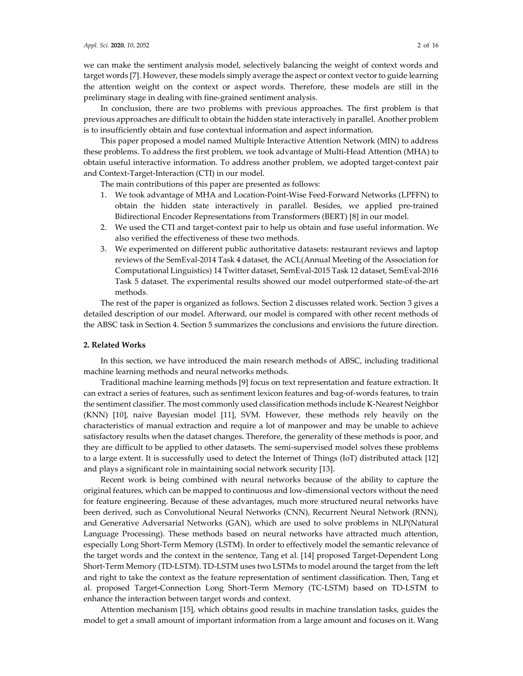we can make the sentiment analysis model, selectively balancing the weight of context words and target words [7]. However, these models simply average the aspect or context vector to guide learning the attention weight on the context or aspect words. Therefore, these models are still in the preliminary stage in dealing with fine-grained sentiment analysis.

In conclusion, there are two problems with previous approaches. The first problem is that previous approaches are difficult to obtain the hidden state interactively in parallel. Another problem is to insufficiently obtain and fuse contextual information and aspect information.

This paper proposed a model named Multiple Interactive Attention Network (MIN) to address these problems. To address the first problem, we took advantage of Multi-Head Attention (MHA) to obtain useful interactive information. To address another problem, we adopted target-context pair and Context-Target-Interaction (CTI) in our model.

The main contributions of this paper are presented as follows:

- 1. We took advantage of MHA and Location-Point-Wise Feed-Forward Networks (LPFFN) to obtain the hidden state interactively in parallel. Besides, we applied pre-trained Bidirectional Encoder Representations from Transformers (BERT) [8] in our model.
- 2. We used the CTI and target-context pair to help us obtain and fuse useful information. We also verified the effectiveness of these two methods.
- 3. We experimented on different public authoritative datasets: restaurant reviews and laptop reviews of the SemEval-2014 Task 4 dataset, the ACL(Annual Meeting of the Association for Computational Linguistics) 14 Twitter dataset, SemEval-2015 Task 12 dataset, SemEval-2016 Task 5 dataset. The experimental results showed our model outperformed state-of-the-art methods.

The rest of the paper is organized as follows. Section 2 discusses related work. Section 3 gives a detailed description of our model. Afterward, our model is compared with other recent methods of the ABSC task in Section 4. Section 5 summarizes the conclusions and envisions the future direction.

## **2. Related Works**

In this section, we have introduced the main research methods of ABSC, including traditional machine learning methods and neural networks methods.

Traditional machine learning methods [9] focus on text representation and feature extraction. It can extract a series of features, such as sentiment lexicon features and bag-of-words features, to train the sentiment classifier. The most commonly used classification methods include K-Nearest Neighbor (KNN) [10], naive Bayesian model [11], SVM. However, these methods rely heavily on the characteristics of manual extraction and require a lot of manpower and may be unable to achieve satisfactory results when the dataset changes. Therefore, the generality of these methods is poor, and they are difficult to be applied to other datasets. The semi-supervised model solves these problems to a large extent. It is successfully used to detect the Internet of Things (IoT) distributed attack [12] and plays a significant role in maintaining social network security [13].

Recent work is being combined with neural networks because of the ability to capture the original features, which can be mapped to continuous and low-dimensional vectors without the need for feature engineering. Because of these advantages, much more structured neural networks have been derived, such as Convolutional Neural Networks (CNN), Recurrent Neural Network (RNN), and Generative Adversarial Networks (GAN), which are used to solve problems in NLP(Natural Language Processing). These methods based on neural networks have attracted much attention, especially Long Short-Term Memory (LSTM). In order to effectively model the semantic relevance of the target words and the context in the sentence, Tang et al. [14] proposed Target-Dependent Long Short-Term Memory (TD-LSTM). TD-LSTM uses two LSTMs to model around the target from the left and right to take the context as the feature representation of sentiment classification. Then, Tang et al. proposed Target-Connection Long Short-Term Memory (TC-LSTM) based on TD-LSTM to enhance the interaction between target words and context.

Attention mechanism [15], which obtains good results in machine translation tasks, guides the model to get a small amount of important information from a large amount and focuses on it. Wang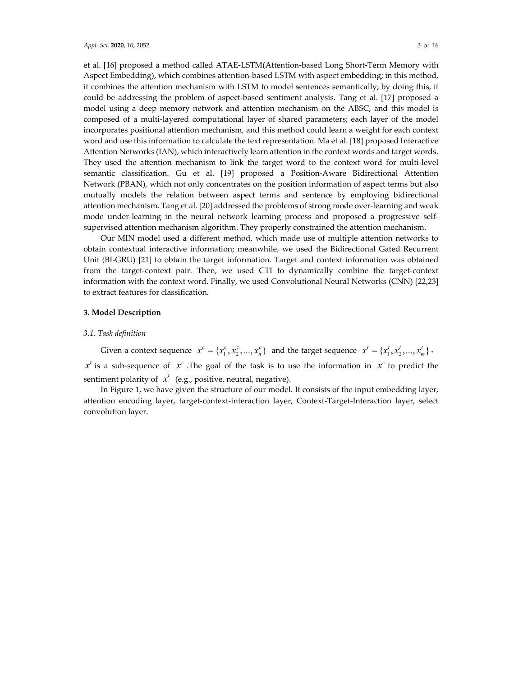et al. [16] proposed a method called ATAE-LSTM(Attention-based Long Short-Term Memory with Aspect Embedding), which combines attention-based LSTM with aspect embedding; in this method, it combines the attention mechanism with LSTM to model sentences semantically; by doing this, it could be addressing the problem of aspect-based sentiment analysis. Tang et al. [17] proposed a model using a deep memory network and attention mechanism on the ABSC, and this model is composed of a multi-layered computational layer of shared parameters; each layer of the model incorporates positional attention mechanism, and this method could learn a weight for each context word and use this information to calculate the text representation. Ma et al. [18] proposed Interactive Attention Networks (IAN), which interactively learn attention in the context words and target words. They used the attention mechanism to link the target word to the context word for multi-level semantic classification. Gu et al. [19] proposed a Position-Aware Bidirectional Attention Network (PBAN), which not only concentrates on the position information of aspect terms but also mutually models the relation between aspect terms and sentence by employing bidirectional attention mechanism. Tang et al. [20] addressed the problems of strong mode over-learning and weak mode under-learning in the neural network learning process and proposed a progressive selfsupervised attention mechanism algorithm. They properly constrained the attention mechanism.

Our MIN model used a different method, which made use of multiple attention networks to obtain contextual interactive information; meanwhile, we used the Bidirectional Gated Recurrent Unit (BI-GRU) [21] to obtain the target information. Target and context information was obtained from the target-context pair. Then, we used CTI to dynamically combine the target-context information with the context word. Finally, we used Convolutional Neural Networks (CNN) [22,23] to extract features for classification.

## **3. Model Description**

#### *3.1. Task definition*

Given a context sequence  $x^c = \{x_1^c, x_2^c, ..., x_n^c\}$  and the target sequence  $x^t = \{x_1^t, x_2^t, ..., x_m^t\}$ ,  $x<sup>t</sup>$  is a sub-sequence of  $x<sup>c</sup>$ . The goal of the task is to use the information in  $x<sup>c</sup>$  to predict the sentiment polarity of  $x^i$  (e.g., positive, neutral, negative).

In Figure 1, we have given the structure of our model. It consists of the input embedding layer, attention encoding layer, target-context-interaction layer, Context-Target-Interaction layer, select convolution layer.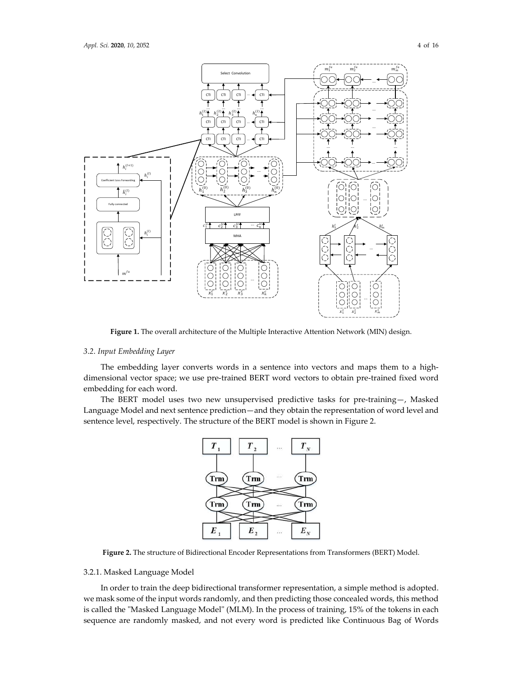

**Figure 1.** The overall architecture of the Multiple Interactive Attention Network (MIN) design.

## *3.2. Input Embedding Layer*

The embedding layer converts words in a sentence into vectors and maps them to a highdimensional vector space; we use pre-trained BERT word vectors to obtain pre-trained fixed word embedding for each word.

The BERT model uses two new unsupervised predictive tasks for pre-training—, Masked Language Model and next sentence prediction—and they obtain the representation of word level and sentence level, respectively. The structure of the BERT model is shown in Figure 2.



**Figure 2.** The structure of Bidirectional Encoder Representations from Transformers (BERT) Model.

## 3.2.1. Masked Language Model

In order to train the deep bidirectional transformer representation, a simple method is adopted. we mask some of the input words randomly, and then predicting those concealed words, this method is called the "Masked Language Model" (MLM). In the process of training, 15% of the tokens in each sequence are randomly masked, and not every word is predicted like Continuous Bag of Words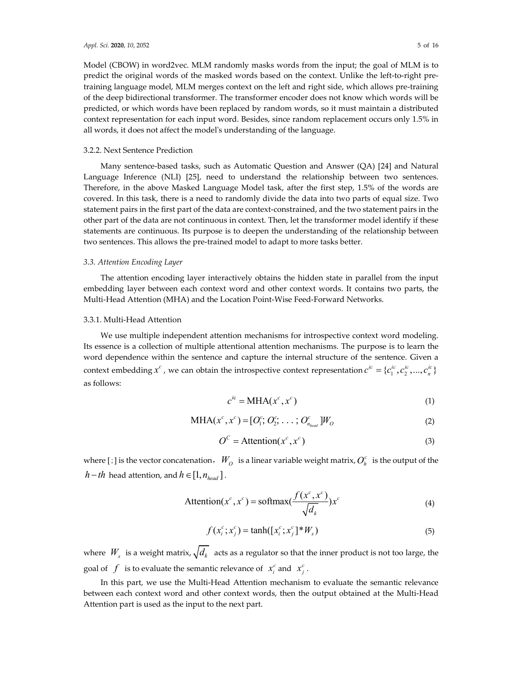Model (CBOW) in word2vec. MLM randomly masks words from the input; the goal of MLM is to predict the original words of the masked words based on the context. Unlike the left-to-right pretraining language model, MLM merges context on the left and right side, which allows pre-training of the deep bidirectional transformer. The transformer encoder does not know which words will be predicted, or which words have been replaced by random words, so it must maintain a distributed context representation for each input word. Besides, since random replacement occurs only 1.5% in all words, it does not affect the model's understanding of the language.

#### 3.2.2. Next Sentence Prediction

Many sentence-based tasks, such as Automatic Question and Answer (QA) [24] and Natural Language Inference (NLI) [25], need to understand the relationship between two sentences. Therefore, in the above Masked Language Model task, after the first step, 1.5% of the words are covered. In this task, there is a need to randomly divide the data into two parts of equal size. Two statement pairs in the first part of the data are context-constrained, and the two statement pairs in the other part of the data are not continuous in context. Then, let the transformer model identify if these statements are continuous. Its purpose is to deepen the understanding of the relationship between two sentences. This allows the pre-trained model to adapt to more tasks better.

#### *3.3. Attention Encoding Layer*

The attention encoding layer interactively obtains the hidden state in parallel from the input embedding layer between each context word and other context words. It contains two parts, the Multi-Head Attention (MHA) and the Location Point-Wise Feed-Forward Networks.

## 3.3.1. Multi-Head Attention

We use multiple independent attention mechanisms for introspective context word modeling. Its essence is a collection of multiple attentional attention mechanisms. The purpose is to learn the word dependence within the sentence and capture the internal structure of the sentence. Given a context embedding  $x^c$ , we can obtain the introspective context representation  $c^{ic} = \{c_1^{ic}, c_2^{ic}, ..., c_n^{ic}\}$ as follows:

$$
c^{ic} = \text{MHA}(x^c, x^c) \tag{1}
$$

$$
MHA(x^{c}, x^{c}) = [O_{1}^{c}, O_{2}^{c}, \dots; O_{n_{head}}^{c}]W_{O}
$$
 (2)

$$
O^{C} = \text{Attention}(x^{c}, x^{c})
$$
\n(3)

where [; ] is the vector concatenation,  $W_O$  is a linear variable weight matrix,  $O_h^c$  is the output of the  $h-th$  head attention, and  $h \in [1, n_{head}]$ .

Attention
$$
(x^c, x^c)
$$
 = softmax $(\frac{f(x^c, x^c)}{\sqrt{d_k}})x^c$  (4)

$$
f(x_i^c; x_j^c) = \tanh([x_i^c; x_j^c]^* W_s)
$$
\n<sup>(5)</sup>

where  $W_s$  is a weight matrix,  $\sqrt{d_k}$  acts as a regulator so that the inner product is not too large, the goal of  $f$  is to evaluate the semantic relevance of  $x_i^c$  and  $x_j^c$ .

In this part, we use the Multi-Head Attention mechanism to evaluate the semantic relevance between each context word and other context words, then the output obtained at the Multi-Head Attention part is used as the input to the next part.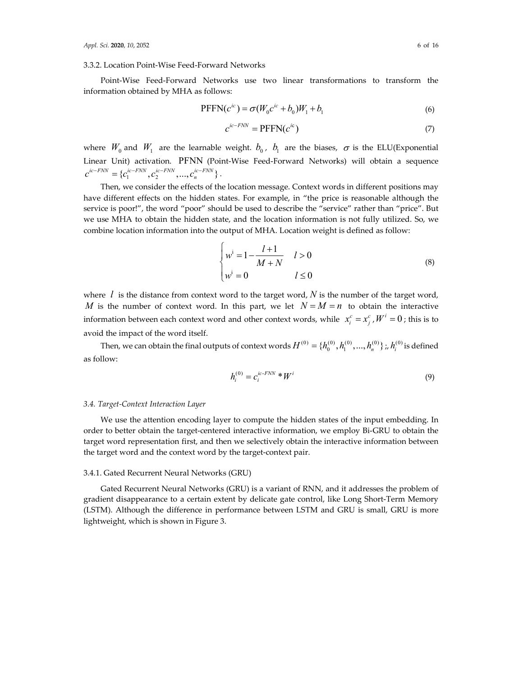#### 3.3.2. Location Point-Wise Feed-Forward Networks

Point-Wise Feed-Forward Networks use two linear transformations to transform the information obtained by MHA as follows:

$$
PFFN(c^{ic}) = \sigma(W_0c^{ic} + b_0)W_1 + b_1
$$
 (6)

$$
c^{ic-FNN} = \text{PFFN}(c^{ic})\tag{7}
$$

where  $W_0$  and  $W_1$  are the learnable weight.  $b_0$ ,  $b_1$  are the biases,  $\sigma$  is the ELU(Exponential Linear Unit) activation. PFNN (Point-Wise Feed-Forward Networks) will obtain a sequence  $c^{ic-FNN} = \{ c_1^{ic-FNN}, c_2^{ic-FNN}, ..., c_n^{ic-FNN} \}$  .

Then, we consider the effects of the location message. Context words in different positions may have different effects on the hidden states. For example, in "the price is reasonable although the service is poor!", the word "poor" should be used to describe the "service" rather than "price". But we use MHA to obtain the hidden state, and the location information is not fully utilized. So, we combine location information into the output of MHA. Location weight is defined as follow:

$$
\begin{cases} w^{i} = 1 - \frac{l+1}{M+N} & l > 0 \\ w^{i} = 0 & l \le 0 \end{cases}
$$
 (8)

where  $l$  is the distance from context word to the target word,  $N$  is the number of the target word, *M* is the number of context word. In this part, we let  $N = M = n$  to obtain the interactive information between each context word and other context words, while  $x_i^c = x_j^c$ ,  $W^i = 0$ ; this is to avoid the impact of the word itself.

Then, we can obtain the final outputs of context words  $H^{(0)} = \{h_0^{(0)}, h_1^{(0)}, ..., h_n^{(0)}\}$  ;,  $h_i^{(0)}$  is defined as follow:

$$
h_i^{(0)} = c_i^{ic\text{-}\text{FNN}} \cdot W^i \tag{9}
$$

#### *3.4. Target-Context Interaction Layer*

We use the attention encoding layer to compute the hidden states of the input embedding. In order to better obtain the target-centered interactive information, we employ Bi-GRU to obtain the target word representation first, and then we selectively obtain the interactive information between the target word and the context word by the target-context pair.

#### 3.4.1. Gated Recurrent Neural Networks (GRU)

Gated Recurrent Neural Networks (GRU) is a variant of RNN, and it addresses the problem of gradient disappearance to a certain extent by delicate gate control, like Long Short-Term Memory (LSTM). Although the difference in performance between LSTM and GRU is small, GRU is more lightweight, which is shown in Figure 3.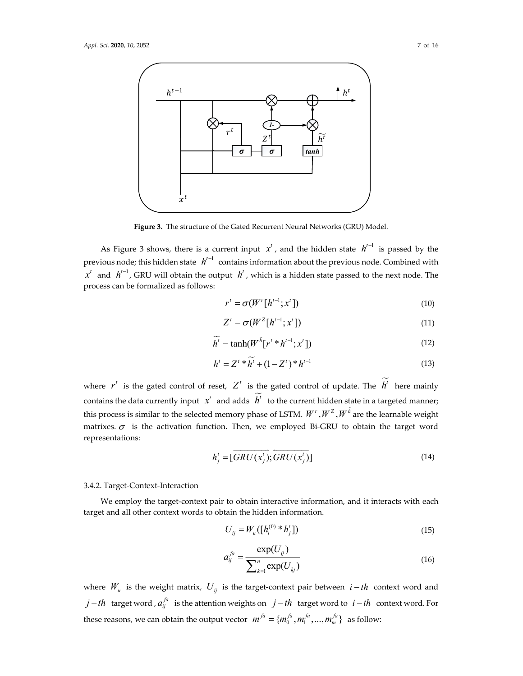

**Figure 3.** The structure of the Gated Recurrent Neural Networks (GRU) Model.

As Figure 3 shows, there is a current input  $x<sup>t</sup>$ , and the hidden state  $h<sup>t-1</sup>$  is passed by the previous node; this hidden state  $h^{t-1}$  contains information about the previous node. Combined with  $x^i$  and  $h^{i-1}$ , GRU will obtain the output  $h^i$ , which is a hidden state passed to the next node. The process can be formalized as follows:

$$
r^t = \sigma(W^r[h^{t-1}; x^t]) \tag{10}
$$

$$
Z^t = \sigma(W^Z[h^{t-1}; x^t])
$$
\n<sup>(11)</sup>

$$
\widetilde{h}^t = \tanh(W^{\tilde{h}}[r^{t} * h^{t-1}; x^t])
$$
\n(12)

$$
h' = Z' * \widetilde{h'} + (1 - Z') * h'^{-1}
$$
\n(13)

where  $r^t$  is the gated control of reset,  $Z^t$  is the gated control of update. The  $\tilde{h}^t$  here mainly contains the data currently input  $x^t$  and adds  $\widetilde{h}^t$  to the current hidden state in a targeted manner; this process is similar to the selected memory phase of LSTM.  $W^r, W^{\bar{Z}}, W^{\tilde{h}}$  are the learnable weight matrixes.  $\sigma$  is the activation function. Then, we employed Bi-GRU to obtain the target word representations:

$$
h_j' = [\overrightarrow{GRU(x_j')}; \overrightarrow{GRU(x_j')}]
$$
\n(14)

## 3.4.2. Target-Context-Interaction

We employ the target-context pair to obtain interactive information, and it interacts with each target and all other context words to obtain the hidden information.

$$
U_{ij} = W_u([h_i^{(0)} * h_j'])
$$
\n(15)

$$
a_{ij}^{fa} = \frac{\exp(U_{ij})}{\sum_{k=1}^{n} \exp(U_{kj})}
$$
\n(16)

where  $W_u$  is the weight matrix,  $U_{ij}$  is the target-context pair between  $i-th$  context word and *j* – *th* target word ,  $a_{ij}^{fa}$  is the attention weights on  $j-th$  target word to  $i-th$  context word. For these reasons, we can obtain the output vector  $m^{fa} = \{m_0^{fa}, m_1^{fa}, ..., m_m^{fa}\}\$  as follow: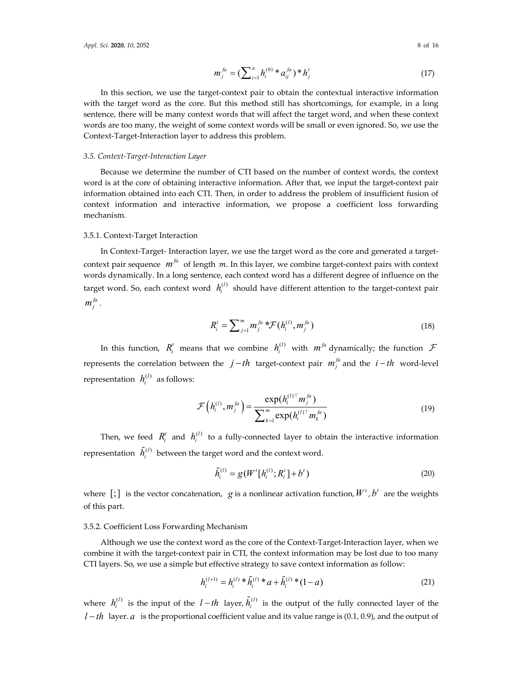$$
m_j^{fa} = \left(\sum_{i=1}^n h_i^{(0)} * a_{ij}^{fa}\right) * h_j^t \tag{17}
$$

In this section, we use the target-context pair to obtain the contextual interactive information with the target word as the core. But this method still has shortcomings, for example, in a long sentence, there will be many context words that will affect the target word, and when these context words are too many, the weight of some context words will be small or even ignored. So, we use the Context-Target-Interaction layer to address this problem.

#### *3.5. Context-Target-Interaction Layer*

Because we determine the number of CTI based on the number of context words, the context word is at the core of obtaining interactive information. After that, we input the target-context pair information obtained into each CTI. Then, in order to address the problem of insufficient fusion of context information and interactive information, we propose a coefficient loss forwarding mechanism.

## 3.5.1. Context-Target Interaction

In Context-Target- Interaction layer, we use the target word as the core and generated a targetcontext pair sequence  $m<sup>f</sup>$  of length  $m$ . In this layer, we combine target-context pairs with context words dynamically. In a long sentence, each context word has a different degree of influence on the target word. So, each context word  $h_i^{(l)}$  should have different attention to the target-context pair  $m_i^{fa}$ .

$$
R'_{i} = \sum_{j=1}^{m} m'_{j}^{fa} * \mathcal{F}(h_{i}^{(l)}, m_{j}^{fa})
$$
\n(18)

In this function,  $R_i^t$  means that we combine  $h_i^{(l)}$  with  $m^{fa}$  dynamically; the function  $\mathcal F$ represents the correlation between the  $j-th$  target-context pair  $m_j^{fa}$  and the  $i-th$  word-level representation  $h_i^{(l)}$  as follows:

$$
\mathcal{F}\left(h_i^{(l)}, m_j^{fa}\right) = \frac{\exp(h_i^{(l)\top} m_j^{fa})}{\sum_{k=1}^m \exp(h_i^{(l)\top} m_k^{fa})}
$$
\n(19)

Then, we feed  $R_i^t$  and  $h_i^{(l)}$  to a fully-connected layer to obtain the interactive information representation  $\tilde h^{(l)}_i$  between the target word and the context word.

$$
\tilde{h}_i^{(l)} = g(W^t[h_i^{(l)}; R_i^t] + b^t)
$$
\n(20)

where  $[\cdot]$  is the vector concatenation, *g* is a nonlinear activation function,  $W^t$ ,  $b^t$  are the weights of this part.

#### 3.5.2. Coefficient Loss Forwarding Mechanism

Although we use the context word as the core of the Context-Target-Interaction layer, when we combine it with the target-context pair in CTI, the context information may be lost due to too many CTI layers. So, we use a simple but effective strategy to save context information as follow:

$$
h_i^{(l+1)} = h_i^{(l)} * \tilde{h}_i^{(l)} * a + \tilde{h}_i^{(l)} * (1 - a)
$$
\n(21)

where  $h_i^{(l)}$  is the input of the  $l-th$  layer,  $\tilde{h}_i^{(l)}$  is the output of the fully connected layer of the  $l-th$  layer. *a* is the proportional coefficient value and its value range is (0.1, 0.9), and the output of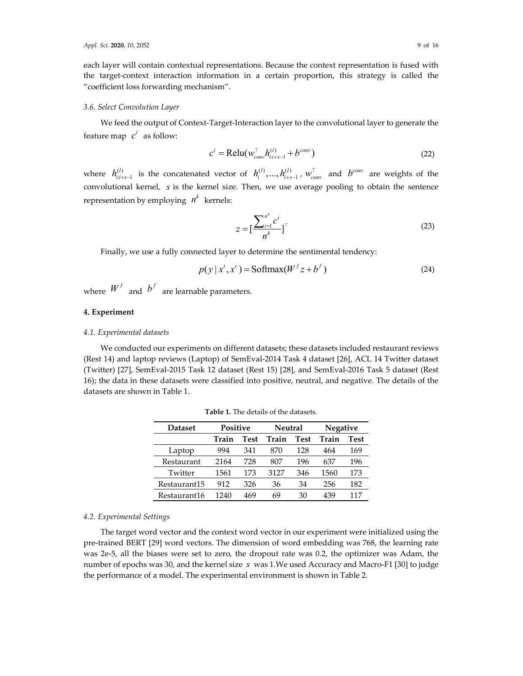each layer will contain contextual representations. Because the context representation is fused with the target-context interaction information in a certain proportion, this strategy is called the "coefficient loss forwarding mechanism".

## *3.6. Select Convolution Layer*

We feed the output of Context-Target-Interaction layer to the convolutional layer to generate the feature map  $c^i$  as follow:

$$
c^{i} = \text{Relu}(w_{conv}^{\top}h_{i:i+s-1}^{(l)} + b^{conv})
$$
\n(22)

where  $h^{(l)}_{i:i+s-1}$  $h_{i:i+s-1}^{(l)}$  is the concatenated vector of  $h_i^{(l)},...,h_{i+s-1}^{(l)}$ ,  $w_{conv}^{\top}$  and  $b^{conv}$  are weights of the convolutional kernel, *s* is the kernel size. Then, we use average pooling to obtain the sentence representation by employing  $n^k$  kernels:

$$
z = \left[\frac{\sum_{i=1}^{n^k} c^i}{n^k}\right]^\top
$$
\n(23)

Finally, we use a fully connected layer to determine the sentimental tendency:

$$
p(y | xt, xc) = \text{Softmax}(Wf z + bf)
$$
 (24)

where  $W^f$  and  $b^f$  are learnable parameters.

## **4**.**Experiment**

#### *4.1. Experimental datasets*

We conducted our experiments on different datasets; these datasets included restaurant reviews (Rest 14) and laptop reviews (Laptop) of SemEval-2014 Task 4 dataset [26], ACL 14 Twitter dataset (Twitter) [27], SemEval-2015 Task 12 dataset (Rest 15) [28], and SemEval-2016 Task 5 dataset (Rest 16); the data in these datasets were classified into positive, neutral, and negative. The details of the datasets are shown in Table 1.

| <b>Dataset</b> | <b>Positive</b> |      | <b>Neutral</b> |      | <b>Negative</b> |      |
|----------------|-----------------|------|----------------|------|-----------------|------|
|                | Train           | Test | Train          | Test | Train           | Test |
| Laptop         | 994             | 341  | 870            | 128  | 464             | 169  |
| Restaurant     | 2164            | 728  | 807            | 196  | 637             | 196  |
| Twitter        | 1561            | 173  | 3127           | 346  | 1560            | 173  |
| Restaurant15   | 912             | 326  | 36             | 34   | 256             | 182  |
| Restaurant16   | 1240            | 469  | 69             | 30   | 439             | 117  |

**Table 1.** The details of the datasets.

## *4.2. Experimental Settings*

The target word vector and the context word vector in our experiment were initialized using the pre-trained BERT [29] word vectors. The dimension of word embedding was 768, the learning rate was 2e-5, all the biases were set to zero, the dropout rate was 0.2, the optimizer was Adam, the number of epochs was 30, and the kernel size s was 1.We used Accuracy and Macro-F1 [30] to judge the performance of a model. The experimental environment is shown in Table 2.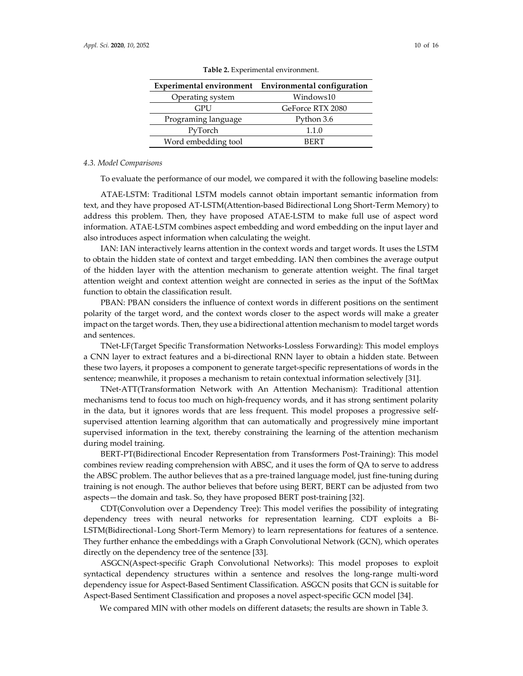|                     | Experimental environment Environmental configuration |
|---------------------|------------------------------------------------------|
| Operating system    | Windows10                                            |
| <b>GPU</b>          | GeForce RTX 2080                                     |
| Programing language | Python 3.6                                           |
| PyTorch             | 1.1.0                                                |
| Word embedding tool | <b>RERT</b>                                          |

**Table 2.** Experimental environment.

## *4.3. Model Comparisons*

To evaluate the performance of our model, we compared it with the following baseline models:

ATAE-LSTM: Traditional LSTM models cannot obtain important semantic information from text, and they have proposed AT-LSTM(Attention-based Bidirectional Long Short-Term Memory) to address this problem. Then, they have proposed ATAE-LSTM to make full use of aspect word information. ATAE-LSTM combines aspect embedding and word embedding on the input layer and also introduces aspect information when calculating the weight.

IAN: IAN interactively learns attention in the context words and target words. It uses the LSTM to obtain the hidden state of context and target embedding. IAN then combines the average output of the hidden layer with the attention mechanism to generate attention weight. The final target attention weight and context attention weight are connected in series as the input of the SoftMax function to obtain the classification result.

PBAN: PBAN considers the influence of context words in different positions on the sentiment polarity of the target word, and the context words closer to the aspect words will make a greater impact on the target words. Then, they use a bidirectional attention mechanism to model target words and sentences.

TNet-LF(Target Specific Transformation Networks-Lossless Forwarding): This model employs a CNN layer to extract features and a bi-directional RNN layer to obtain a hidden state. Between these two layers, it proposes a component to generate target-specific representations of words in the sentence; meanwhile, it proposes a mechanism to retain contextual information selectively [31].

TNet-ATT(Transformation Network with An Attention Mechanism): Traditional attention mechanisms tend to focus too much on high-frequency words, and it has strong sentiment polarity in the data, but it ignores words that are less frequent. This model proposes a progressive selfsupervised attention learning algorithm that can automatically and progressively mine important supervised information in the text, thereby constraining the learning of the attention mechanism during model training.

BERT-PT(Bidirectional Encoder Representation from Transformers Post-Training): This model combines review reading comprehension with ABSC, and it uses the form of QA to serve to address the ABSC problem. The author believes that as a pre-trained language model, just fine-tuning during training is not enough. The author believes that before using BERT, BERT can be adjusted from two aspects—the domain and task. So, they have proposed BERT post-training [32].

CDT(Convolution over a Dependency Tree): This model verifies the possibility of integrating dependency trees with neural networks for representation learning. CDT exploits a Bi-LSTM(Bidirectional-Long Short-Term Memory) to learn representations for features of a sentence. They further enhance the embeddings with a Graph Convolutional Network (GCN), which operates directly on the dependency tree of the sentence [33].

ASGCN(Aspect-specific Graph Convolutional Networks): This model proposes to exploit syntactical dependency structures within a sentence and resolves the long-range multi-word dependency issue for Aspect-Based Sentiment Classification. ASGCN posits that GCN is suitable for Aspect-Based Sentiment Classification and proposes a novel aspect-specific GCN model [34].

We compared MIN with other models on different datasets; the results are shown in Table 3.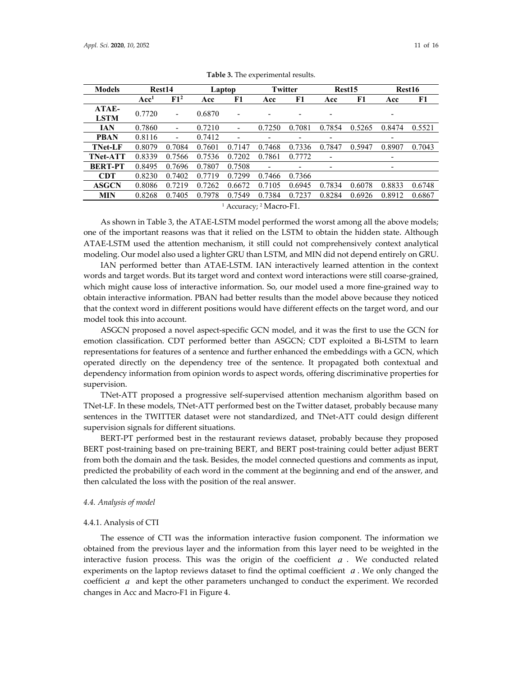| Models               | Rest14           |                              | Laptop |                          | <b>Twitter</b>       |           | Rest <sub>15</sub>       |        | Rest16                   |        |
|----------------------|------------------|------------------------------|--------|--------------------------|----------------------|-----------|--------------------------|--------|--------------------------|--------|
|                      | Acc <sup>1</sup> | F1 <sup>2</sup>              | Acc    | F1                       | Acc                  | F1        | Acc                      | F1     | Acc                      | F1     |
| ATAE-<br><b>LSTM</b> | 0.7720           | $\qquad \qquad \blacksquare$ | 0.6870 | $\overline{\phantom{a}}$ |                      |           |                          |        |                          |        |
| <b>IAN</b>           | 0.7860           | $\overline{\phantom{a}}$     | 0.7210 | $\overline{\phantom{a}}$ | 0.7250               | 0.7081    | 0.7854                   | 0.5265 | 0.8474                   | 0.5521 |
| <b>PBAN</b>          | 0.8116           |                              | 0.7412 |                          |                      | -         | ۰                        |        | $\overline{\phantom{0}}$ |        |
| <b>TNet-LF</b>       | 0.8079           | 0.7084                       | 0.7601 | 0.7147                   | 0.7468               | 0.7336    | 0.7847                   | 0.5947 | 0.8907                   | 0.7043 |
| <b>TNet-ATT</b>      | 0.8339           | 0.7566                       | 0.7536 | 0.7202                   | 0.7861               | 0.7772    | $\overline{\phantom{a}}$ |        | -                        |        |
| <b>BERT-PT</b>       | 0.8495           | 0.7696                       | 0.7807 | 0.7508                   | -                    | -         | ۰                        |        | -                        |        |
| <b>CDT</b>           | 0.8230           | 0.7402                       | 0.7719 | 0.7299                   | 0.7466               | 0.7366    |                          |        |                          |        |
| <b>ASGCN</b>         | 0.8086           | 0.7219                       | 0.7262 | 0.6672                   | 0.7105               | 0.6945    | 0.7834                   | 0.6078 | 0.8833                   | 0.6748 |
| <b>MIN</b>           | 0.8268           | 0.7405                       | 0.7978 | 0.7549                   | 0.7384               | 0.7237    | 0.8284                   | 0.6926 | 0.8912                   | 0.6867 |
|                      |                  |                              |        | $\sim$ $\sim$            | $\sim$ $\sim$ $\sim$ | <b>TA</b> |                          |        |                          |        |

**Table 3.** The experimental results.

<sup>1</sup> Accuracy; <sup>2</sup> Macro-F1.

As shown in Table 3, the ATAE-LSTM model performed the worst among all the above models; one of the important reasons was that it relied on the LSTM to obtain the hidden state. Although ATAE-LSTM used the attention mechanism, it still could not comprehensively context analytical modeling. Our model also used a lighter GRU than LSTM, and MIN did not depend entirely on GRU.

IAN performed better than ATAE-LSTM. IAN interactively learned attention in the context words and target words. But its target word and context word interactions were still coarse-grained, which might cause loss of interactive information. So, our model used a more fine-grained way to obtain interactive information. PBAN had better results than the model above because they noticed that the context word in different positions would have different effects on the target word, and our model took this into account.

ASGCN proposed a novel aspect-specific GCN model, and it was the first to use the GCN for emotion classification. CDT performed better than ASGCN; CDT exploited a Bi-LSTM to learn representations for features of a sentence and further enhanced the embeddings with a GCN, which operated directly on the dependency tree of the sentence. It propagated both contextual and dependency information from opinion words to aspect words, offering discriminative properties for supervision.

TNet-ATT proposed a progressive self-supervised attention mechanism algorithm based on TNet-LF. In these models, TNet-ATT performed best on the Twitter dataset, probably because many sentences in the TWITTER dataset were not standardized, and TNet-ATT could design different supervision signals for different situations.

BERT-PT performed best in the restaurant reviews dataset, probably because they proposed BERT post-training based on pre-training BERT, and BERT post-training could better adjust BERT from both the domain and the task. Besides, the model connected questions and comments as input, predicted the probability of each word in the comment at the beginning and end of the answer, and then calculated the loss with the position of the real answer.

#### *4.4. Analysis of model*

#### 4.4.1. Analysis of CTI

The essence of CTI was the information interactive fusion component. The information we obtained from the previous layer and the information from this layer need to be weighted in the interactive fusion process. This was the origin of the coefficient  $a$ . We conducted related experiments on the laptop reviews dataset to find the optimal coefficient *a* . We only changed the coefficient *a* and kept the other parameters unchanged to conduct the experiment. We recorded changes in Acc and Macro-F1 in Figure 4.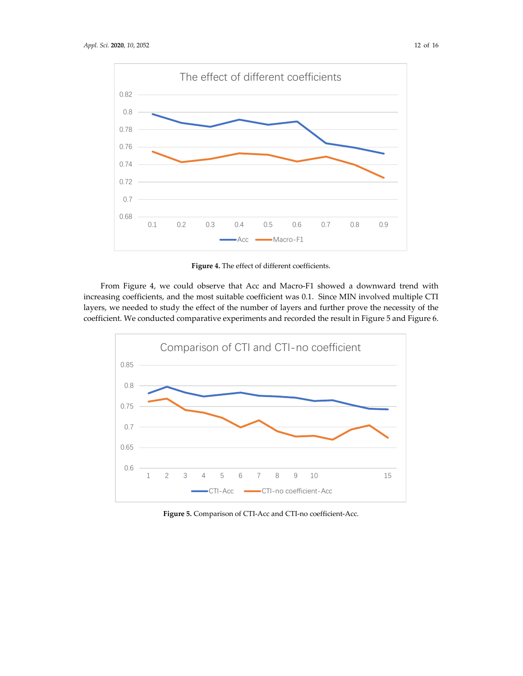



**Figure 4.** The effect of different coefficients.

From Figure 4, we could observe that Acc and Macro-F1 showed a downward trend with increasing coefficients, and the most suitable coefficient was 0.1. Since MIN involved multiple CTI layers, we needed to study the effect of the number of layers and further prove the necessity of the coefficient. We conducted comparative experiments and recorded the result in Figure 5 and Figure 6.



**Figure 5.** Comparison of CTI-Acc and CTI-no coefficient-Acc.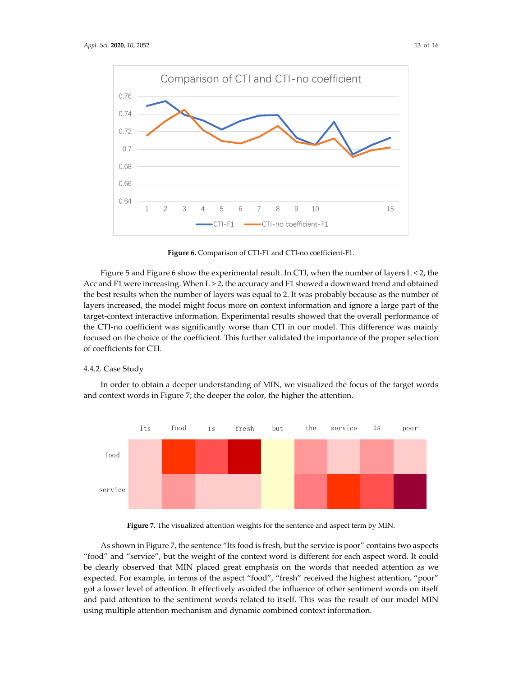

**Figure 6.** Comparison of CTI-F1 and CTI-no coefficient-F1.

Figure 5 and Figure 6 show the experimental result. In CTI, when the number of layers L < 2, the Acc and F1 were increasing. When L  $>$  2, the accuracy and F1 showed a downward trend and obtained the best results when the number of layers was equal to 2. It was probably because as the number of layers increased, the model might focus more on context information and ignore a large part of the target-context interactive information. Experimental results showed that the overall performance of the CTI-no coefficient was significantly worse than CTI in our model. This difference was mainly focused on the choice of the coefficient. This further validated the importance of the proper selection of coefficients for CTI.

## 4.4.2. Case Study

In order to obtain a deeper understanding of MIN, we visualized the focus of the target words and context words in Figure 7; the deeper the color, the higher the attention.



**Figure 7.** The visualized attention weights for the sentence and aspect term by MIN.

As shown in Figure 7, the sentence "Its food is fresh, but the service is poor" contains two aspects "food" and "service", but the weight of the context word is different for each aspect word. It could be clearly observed that MIN placed great emphasis on the words that needed attention as we expected. For example, in terms of the aspect "food", "fresh" received the highest attention, "poor" got a lower level of attention. It effectively avoided the influence of other sentiment words on itself and paid attention to the sentiment words related to itself. This was the result of our model MIN using multiple attention mechanism and dynamic combined context information.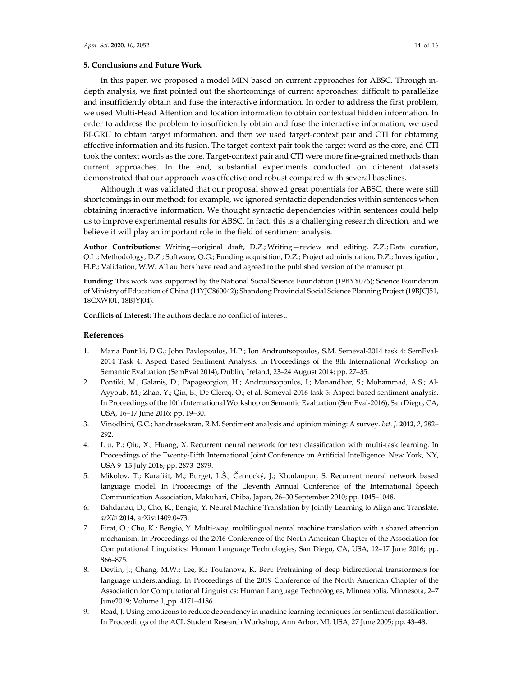## **5. Conclusions and Future Work**

In this paper, we proposed a model MIN based on current approaches for ABSC. Through indepth analysis, we first pointed out the shortcomings of current approaches: difficult to parallelize and insufficiently obtain and fuse the interactive information. In order to address the first problem, we used Multi-Head Attention and location information to obtain contextual hidden information. In order to address the problem to insufficiently obtain and fuse the interactive information, we used BI-GRU to obtain target information, and then we used target-context pair and CTI for obtaining effective information and its fusion. The target-context pair took the target word as the core, and CTI took the context words as the core. Target-context pair and CTI were more fine-grained methods than current approaches. In the end, substantial experiments conducted on different datasets demonstrated that our approach was effective and robust compared with several baselines.

Although it was validated that our proposal showed great potentials for ABSC, there were still shortcomings in our method; for example, we ignored syntactic dependencies within sentences when obtaining interactive information. We thought syntactic dependencies within sentences could help us to improve experimental results for ABSC. In fact, this is a challenging research direction, and we believe it will play an important role in the field of sentiment analysis.

**Author Contributions**: Writing—original draft, D.Z.; Writing—review and editing, Z.Z.; Data curation, Q.L.; Methodology, D.Z.; Software, Q.G.; Funding acquisition, D.Z.; Project administration, D.Z.; Investigation, H.P.; Validation, W.W. All authors have read and agreed to the published version of the manuscript.

**Funding**: This work was supported by the National Social Science Foundation (19BYY076); Science Foundation of Ministry of Education of China (14YJC860042); Shandong Provincial Social Science Planning Project (19BJCJ51, 18CXWJ01, 18BJYJ04).

**Conflicts of Interest:** The authors declare no conflict of interest.

#### **References**

- 1. Maria Pontiki, D.G.; John Pavlopoulos, H.P.; Ion Androutsopoulos, S.M. Semeval-2014 task 4: SemEval-2014 Task 4: Aspect Based Sentiment Analysis. In Proceedings of the 8th International Workshop on Semantic Evaluation (SemEval 2014), Dublin, Ireland, 23–24 August 2014; pp. 27–35.
- 2. Pontiki, M.; Galanis, D.; Papageorgiou, H.; Androutsopoulos, I.; Manandhar, S.; Mohammad, A.S.; Al-Ayyoub, M.; Zhao, Y.; Qin, B.; De Clercq, O.; et al. Semeval-2016 task 5: Aspect based sentiment analysis. In Proceedings of the 10th International Workshop on Semantic Evaluation (SemEval-2016), San Diego, CA, USA, 16–17 June 2016; pp. 19–30.
- 3. Vinodhini, G.C.; handrasekaran, R.M. Sentiment analysis and opinion mining: A survey. *Int. J*. **2012**, *2*, 282– 292.
- 4. Liu, P.; Qiu, X.; Huang, X. Recurrent neural network for text classification with multi-task learning. In Proceedings of the Twenty-Fifth International Joint Conference on Artificial Intelligence, New York, NY, USA 9–15 July 2016; pp. 2873–2879.
- 5. Mikolov, T.; Karafiát, M.; Burget, L.Š.; Černocký, J.; Khudanpur, S. Recurrent neural network based language model. In Proceedings of the Eleventh Annual Conference of the International Speech Communication Association, Makuhari, Chiba, Japan, 26–30 September 2010; pp. 1045–1048.
- 6. Bahdanau, D.; Cho, K.; Bengio, Y. Neural Machine Translation by Jointly Learning to Align and Translate. *arXiv* **2014**, arXiv:1409.0473.
- 7. Firat, O.; Cho, K.; Bengio, Y. Multi-way, multilingual neural machine translation with a shared attention mechanism. In Proceedings of the 2016 Conference of the North American Chapter of the Association for Computational Linguistics: Human Language Technologies, San Diego, CA, USA, 12–17 June 2016; pp. 866–875.
- 8. Devlin, J.; Chang, M.W.; Lee, K.; Toutanova, K. Bert: Pretraining of deep bidirectional transformers for language understanding. In Proceedings of the 2019 Conference of the North American Chapter of the Association for Computational Linguistics: Human Language Technologies, Minneapolis, Minnesota, 2–7 June2019; Volume 1, pp. 4171–4186.
- 9. Read, J. Using emoticons to reduce dependency in machine learning techniques for sentiment classification. In Proceedings of the ACL Student Research Workshop, Ann Arbor, MI, USA, 27 June 2005; pp. 43–48.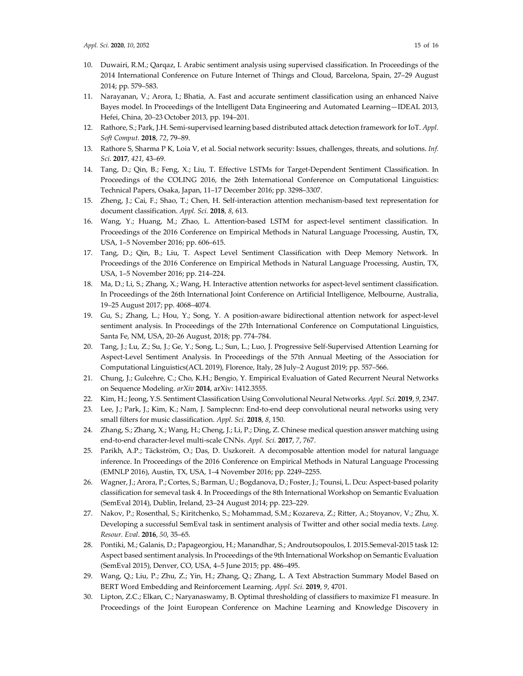- 10. Duwairi, R.M.; Qarqaz, I. Arabic sentiment analysis using supervised classification. In Proceedings of the 2014 International Conference on Future Internet of Things and Cloud, Barcelona, Spain, 27–29 August 2014; pp. 579–583.
- 11. Narayanan, V.; Arora, I.; Bhatia, A. Fast and accurate sentiment classification using an enhanced Naive Bayes model. In Proceedings of the Intelligent Data Engineering and Automated Learning—IDEAL 2013, Hefei, China, 20–23 October 2013, pp. 194–201.
- 12. Rathore, S.; Park, J.H. Semi-supervised learning based distributed attack detection framework for IoT. *Appl. Soft Comput.* **2018**, *72*, 79–89.
- 13. Rathore S, Sharma P K, Loia V, et al. Social network security: Issues, challenges, threats, and solutions. *Inf. Sci.* **2017**, *421*, 43–69.
- 14. Tang, D.; Qin, B.; Feng, X.; Liu, T. Effective LSTMs for Target-Dependent Sentiment Classification. In Proceedings of the COLING 2016, the 26th International Conference on Computational Linguistics: Technical Papers, Osaka, Japan, 11–17 December 2016; pp. 3298–3307.
- 15. Zheng, J.; Cai, F.; Shao, T.; Chen, H. Self-interaction attention mechanism-based text representation for document classification. *Appl. Sci.* **2018**, *8*, 613.
- 16. Wang, Y.; Huang, M.; Zhao, L. Attention-based LSTM for aspect-level sentiment classification. In Proceedings of the 2016 Conference on Empirical Methods in Natural Language Processing, Austin, TX, USA, 1–5 November 2016; pp. 606–615.
- 17. Tang, D.; Qin, B.; Liu, T. Aspect Level Sentiment Classification with Deep Memory Network. In Proceedings of the 2016 Conference on Empirical Methods in Natural Language Processing, Austin, TX, USA, 1–5 November 2016; pp. 214–224.
- 18. Ma, D.; Li, S.; Zhang, X.; Wang, H. Interactive attention networks for aspect-level sentiment classification. In Proceedings of the 26th International Joint Conference on Artificial Intelligence, Melbourne, Australia, 19–25 August 2017; pp. 4068–4074.
- 19. Gu, S.; Zhang, L.; Hou, Y.; Song, Y. A position-aware bidirectional attention network for aspect-level sentiment analysis. In Proceedings of the 27th International Conference on Computational Linguistics, Santa Fe, NM, USA, 20–26 August, 2018; pp. 774–784.
- 20. Tang, J.; Lu, Z.; Su, J.; Ge, Y.; Song, L.; Sun, L.; Luo, J. Progressive Self-Supervised Attention Learning for Aspect-Level Sentiment Analysis. In Proceedings of the 57th Annual Meeting of the Association for Computational Linguistics(ACL 2019), Florence, Italy, 28 July–2 August 2019; pp. 557–566.
- 21. Chung, J.; Gulcehre, C.; Cho, K.H.; Bengio, Y. Empirical Evaluation of Gated Recurrent Neural Networks on Sequence Modeling. *arXiv* **2014**, arXiv: 1412.3555.
- 22. Kim, H.; Jeong, Y.S. Sentiment Classification Using Convolutional Neural Networks. *Appl. Sci.* **2019**, *9*, 2347.
- 23. Lee, J.; Park, J.; Kim, K.; Nam, J. Samplecnn: End-to-end deep convolutional neural networks using very small filters for music classification. *Appl. Sci.* **2018**, *8*, 150.
- 24. Zhang, S.; Zhang, X.; Wang, H.; Cheng, J.; Li, P.; Ding, Z. Chinese medical question answer matching using end-to-end character-level multi-scale CNNs. *Appl. Sci.* **2017**, *7*, 767.
- 25. Parikh, A.P.; Täckström, O.; Das, D. Uszkoreit. A decomposable attention model for natural language inference. In Proceedings of the 2016 Conference on Empirical Methods in Natural Language Processing (EMNLP 2016), Austin, TX, USA, 1–4 November 2016; pp. 2249–2255.
- 26. Wagner, J.; Arora, P.; Cortes, S.; Barman, U.; Bogdanova, D.; Foster, J.; Tounsi, L. Dcu: Aspect-based polarity classification for semeval task 4. In Proceedings of the 8th International Workshop on Semantic Evaluation (SemEval 2014), Dublin, Ireland, 23–24 August 2014; pp. 223–229.
- 27. Nakov, P.; Rosenthal, S.; Kiritchenko, S.; Mohammad, S.M.; Kozareva, Z.; Ritter, A.; Stoyanov, V.; Zhu, X. Developing a successful SemEval task in sentiment analysis of Twitter and other social media texts. *Lang. Resour. Eval*. **2016**, *50*, 35–65.
- 28. Pontiki, M.; Galanis, D.; Papageorgiou, H.; Manandhar, S.; Androutsopoulos, I. 2015.Semeval-2015 task 12: Aspect based sentiment analysis. In Proceedings of the 9th International Workshop on Semantic Evaluation (SemEval 2015), Denver, CO, USA, 4–5 June 2015; pp. 486–495.
- 29. Wang, Q.; Liu, P.; Zhu, Z.; Yin, H.; Zhang, Q.; Zhang, L. A Text Abstraction Summary Model Based on BERT Word Embedding and Reinforcement Learning. *Appl. Sci.* **2019**, *9*, 4701.
- 30. Lipton, Z.C.; Elkan, C.; Naryanaswamy, B. Optimal thresholding of classifiers to maximize F1 measure. In Proceedings of the Joint European Conference on Machine Learning and Knowledge Discovery in